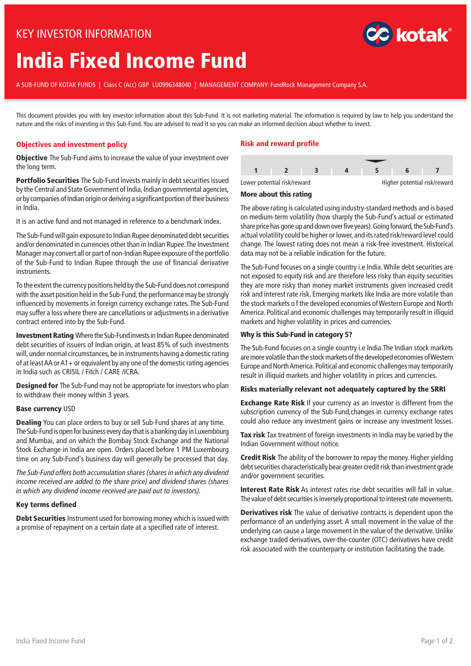# KEY INVESTOR INFORMATION

# **India Fixed Income Fund**

A SUB-FUND OF KOTAK FUNDS | Class C (Acc) GBP LU0996348040 | MANAGEMENT COMPANY: FundRock Management Company S.A.

This document provides you with key investor information about this Sub-Fund. It is not marketing material. The information is required by law to help you understand the nature and the risks of investing in this Sub-Fund. You are advised to read it so you can make an informed decision about whether to invest.

## **Objectives and investment policy**

**Objective** The Sub-Fund aims to increase the value of your investment over the long term.

**Portfolio Securities** The Sub-Fund invests mainly in debt securities issued by the Central and State Government of India, Indian governmental agencies, or by companies of Indian origin or deriving a significant portion oftheir business in India.

It is an active fund and not managed in reference to a benchmark index.

The Sub-Fund will gain exposure to Indian Rupee denominated debt securities and/or denominated in currencies other than in Indian Rupee.The Investment Manager may convert all or part of non-Indian Rupee exposure of the portfolio of the Sub-Fund to Indian Rupee through the use of financial derivative instruments.

To the extent the currency positions held by the Sub-Fund does not correspond with the asset position held in the Sub-Fund, the performance may be strongly influenced by movements in foreign currency exchange rates. The Sub-Fund may suffer a loss where there are cancellations or adjustments in a derivative contract entered into by the Sub-Fund.

**Investment Rating** Where the Sub-Fund invests in Indian Rupee denominated debt securities of issuers of Indian origin, at least 85% of such investments will, under normal circumstances, be in instruments having a domestic rating of at leastAA orA1+ or equivalent by any one of the domestic rating agencies in India such as CRISIL / Fitch / CARE /ICRA.

**Designed for** The Sub-Fund may not be appropriate for investors who plan to withdraw their money within 3 years.

#### **Base currency** USD

**Dealing** You can place orders to buy or sell Sub-Fund shares at any time. The Sub-Fund is open for business every day that is a banking day in Luxembourg and Mumbai, and on which the Bombay Stock Exchange and the National Stock Exchange in India are open. Orders placed before 1 PM Luxembourg time on any Sub-Fund's business day will generally be processed that day.

The Sub-Fund offers both accumulation shares (shares in which any dividend income received are added to the share price) and dividend shares (shares in which any dividend income received are paid out to investors).

#### **Key terms defined**

**Debt Securities** Instrument used for borrowing money which is issued with a promise of repayment on a certain date at a specified rate of interest.

## **Risk and reward profile**





#### **More about this rating**

The above rating is calculated using industry-standard methods and is based on medium-term volatility (how sharply the Sub-Fund's actual or estimated share price has gone up and down over five years). Going forward, the Sub-Fund's actual volatility could be higher or lower, and its rated risk/reward level could change. The lowest rating does not mean a risk-free investment. Historical data may not be a reliable indication for the future.

The Sub-Fund focuses on a single country i.e India.While debt securities are not exposed to equity risk and are therefore less risky than equity securities they are more risky than money market instruments given increased credit risk and interest rate risk. Emerging markets like India are more volatile than the stock markets o f the developed economies ofWestern Europe and North America. Political and economic challenges may temporarily result in illiquid markets and higher volatility in prices and currencies.

#### **Why is this Sub-Fund in category 5?**

The Sub-Fund focuses on a single country i.e India.The Indian stock markets are more volatile than the stock markets of the developed economies of Western Europe and North America. Political and economic challenges may temporarily result in illiquid markets and higher volatility in prices and currencies.

#### **Risks materially relevant not adequately captured by the SRRI**

**Exchange Rate Risk** If your currency as an investor is different from the subscription currency of the Sub-Fund,changes in currency exchange rates could also reduce any investment gains or increase any investment losses.

**Tax risk** Tax treatment of foreign investments in India may be varied by the Indian Government without notice.

**Credit Risk** The ability of the borrower to repay the money. Higher yielding debt securities characteristically bear greater credit risk than investment grade and/or government securities.

**Interest Rate Risk** As interest rates rise debt securities will fall in value. The value of debt securities is inversely proportional to interest rate movements.

**Derivatives risk** The value of derivative contracts is dependent upon the performance of an underlying asset. A small movement in the value of the underlying can cause a large movement in the value of the derivative. Unlike exchange traded derivatives, over-the-counter (OTC) derivatives have credit risk associated with the counterparty or institution facilitating the trade.